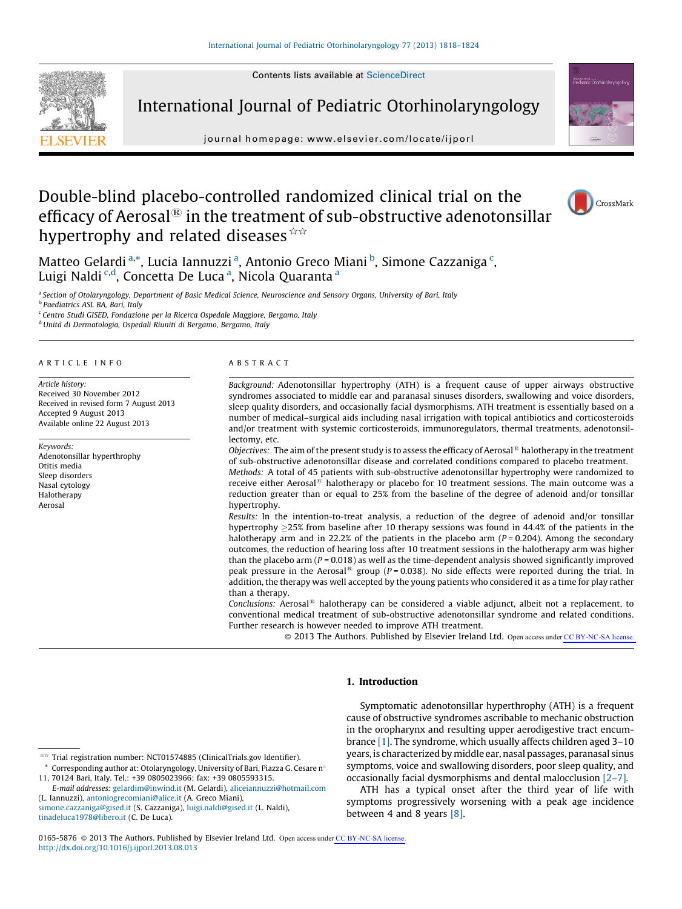Contents lists available at [ScienceDirect](http://www.sciencedirect.com/science/journal/01655876)



International Journal of Pediatric Otorhinolaryngology

journal homepage: www.elsevier.com/locate/ijporl



# Double-blind placebo-controlled randomized clinical trial on the efficacy of Aerosal $^{(8)}$  in the treatment of sub-obstructive adenotonsillar hypertrophy and related diseases  $\star\star$



Matteo Gelardi <sup>a,\*</sup>, Lucia Iannuzzi <sup>a</sup>, Antonio Greco Miani <sup>b</sup>, Simone Cazzaniga <sup>c</sup>, Luigi Naldi <sup>c,d</sup>, Concetta De Luca <sup>a</sup>, Nicola Quaranta <sup>a</sup>

a Section of Otolaryngology, Department of Basic Medical Science, Neuroscience and Sensory Organs, University of Bari, Italy

<sup>b</sup> Paediatrics ASL BA, Bari, Italy

<sup>c</sup> Centro Studi GISED, Fondazione per la Ricerca Ospedale Maggiore, Bergamo, Italy

<sup>d</sup> Unità di Dermatologia, Ospedali Riuniti di Bergamo, Bergamo, Italy

#### A R T I C L E I N F O

Article history: Received 30 November 2012 Received in revised form 7 August 2013 Accepted 9 August 2013 Available online 22 August 2013

Keywords: Adenotonsillar hyperthrophy Otitis media Sleep disorders Nasal cytology Halotherapy Aerosal

#### A B S T R A C T

Background: Adenotonsillar hypertrophy (ATH) is a frequent cause of upper airways obstructive syndromes associated to middle ear and paranasal sinuses disorders, swallowing and voice disorders, sleep quality disorders, and occasionally facial dysmorphisms. ATH treatment is essentially based on a number of medical–surgical aids including nasal irrigation with topical antibiotics and corticosteroids and/or treatment with systemic corticosteroids, immunoregulators, thermal treatments, adenotonsillectomy, etc.

Objectives: The aim of the present study is to assess the efficacy of Aerosal<sup>®</sup> halotherapy in the treatment of sub-obstructive adenotonsillar disease and correlated conditions compared to placebo treatment. Methods: A total of 45 patients with sub-obstructive adenotonsillar hypertrophy were randomized to receive either Aerosal<sup>®</sup> halotherapy or placebo for 10 treatment sessions. The main outcome was a reduction greater than or equal to 25% from the baseline of the degree of adenoid and/or tonsillar hypertrophy.

Results: In the intention-to-treat analysis, a reduction of the degree of adenoid and/or tonsillar hypertrophy  $\geq$ 25% from baseline after 10 therapy sessions was found in 44.4% of the patients in the halotherapy arm and in 22.2% of the patients in the placebo arm ( $P = 0.204$ ). Among the secondary outcomes, the reduction of hearing loss after 10 treatment sessions in the halotherapy arm was higher than the placebo arm  $(P = 0.018)$  as well as the time-dependent analysis showed significantly improved peak pressure in the Aerosal<sup>®</sup> group ( $P = 0.038$ ). No side effects were reported during the trial. In addition, the therapy was well accepted by the young patients who considered it as a time for play rather than a therapy.

Conclusions: Aerosal<sup>®</sup> halotherapy can be considered a viable adjunct, albeit not a replacement, to conventional medical treatment of sub-obstructive adenotonsillar syndrome and related conditions. Further research is however needed to improve ATH treatment.

© 2013 The Authors. Published by Elsevier Ireland Ltd. Open access under [CC BY-NC-SA license.](http://creativecommons.org/licenses/by-nc-sa/3.0/)

# 1. Introduction

 $^*~$  Corresponding author at: Otolaryngology, University of Bari, Piazza G. Cesare n $^{\circ}$ 

(L. Iannuzzi), [antoniogrecomiani@alice.it](mailto:antoniogrecomiani@alice.it) (A. Greco Miani), [simone.cazzaniga@gised.it](mailto:simone.cazzaniga@gised.it) (S. Cazzaniga), [luigi.naldi@gised.it](mailto:luigi.naldi@gised.it) (L. Naldi), [tinadeluca1978@libero.it](mailto:tinadeluca1978@libero.it) (C. De Luca).

Symptomatic adenotonsillar hyperthrophy (ATH) is a frequent cause of obstructive syndromes ascribable to mechanic obstruction in the oropharynx and resulting upper aerodigestive tract encumbrance [\[1\].](#page-5-0) The syndrome, which usually affects children aged 3–10 years, is characterized by middle ear, nasal passages, paranasal sinus symptoms, voice and swallowing disorders, poor sleep quality, and occasionally facial dysmorphisms and dental malocclusion [\[2–7\].](#page-5-0)

ATH has a typical onset after the third year of life with symptoms progressively worsening with a peak age incidence between 4 and 8 years [\[8\]](#page-5-0).

0165-5876 @ 2013 The Authors. Published by Elsevier Ireland Ltd. Open access under [CC BY-NC-SA license.](http://creativecommons.org/licenses/by-nc-sa/3.0/) <http://dx.doi.org/10.1016/j.ijporl.2013.08.013>

<sup>§§</sup> Trial registration number: NCT01574885 (ClinicalTrials.gov Identifier).

<sup>11,</sup> 70124 Bari, Italy. Tel.: +39 0805023966; fax: +39 0805593315. E-mail addresses: [gelardim@inwind.it](mailto:gelardim@inwind.it) (M. Gelardi), [aliceiannuzzi@hotmail.com](mailto:aliceiannuzzi@hotmail.com)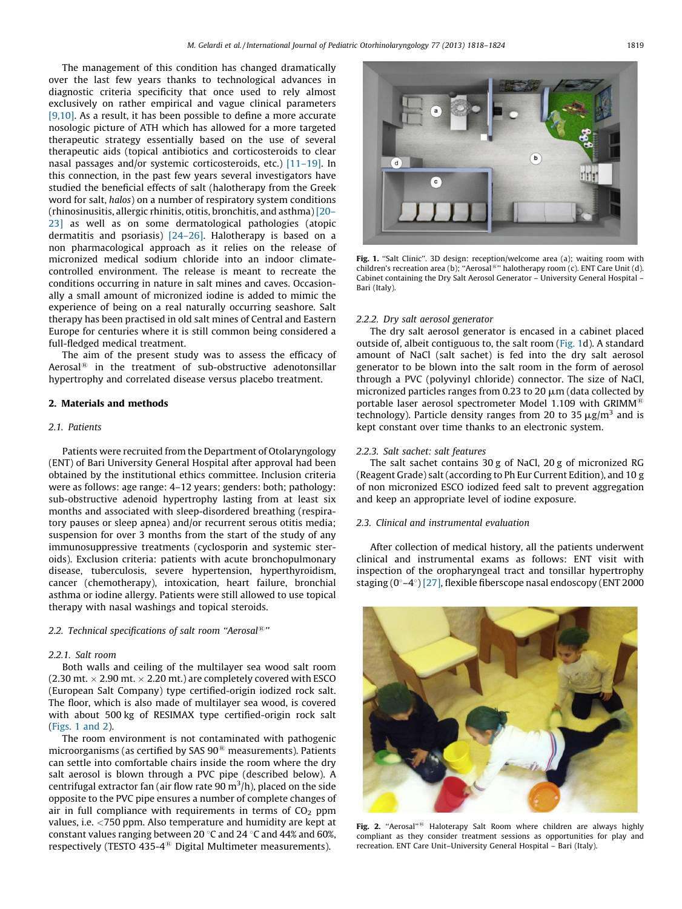<span id="page-1-0"></span>The management of this condition has changed dramatically over the last few years thanks to technological advances in diagnostic criteria specificity that once used to rely almost exclusively on rather empirical and vague clinical parameters [\[9,10\].](#page-5-0) As a result, it has been possible to define a more accurate nosologic picture of ATH which has allowed for a more targeted therapeutic strategy essentially based on the use of several therapeutic aids (topical antibiotics and corticosteroids to clear nasal passages and/or systemic corticosteroids, etc.) [\[11–19\].](#page-5-0) In this connection, in the past few years several investigators have studied the beneficial effects of salt (halotherapy from the Greek word for salt, halos) on a number of respiratory system conditions (rhinosinusitis, allergic rhinitis, otitis, bronchitis, and asthma) [\[20–](#page-6-0) [23\]](#page-6-0) as well as on some dermatological pathologies (atopic dermatitis and psoriasis) [\[24–26\].](#page-6-0) Halotherapy is based on a non pharmacological approach as it relies on the release of micronized medical sodium chloride into an indoor climatecontrolled environment. The release is meant to recreate the conditions occurring in nature in salt mines and caves. Occasionally a small amount of micronized iodine is added to mimic the experience of being on a real naturally occurring seashore. Salt therapy has been practised in old salt mines of Central and Eastern Europe for centuries where it is still common being considered a full-fledged medical treatment.

The aim of the present study was to assess the efficacy of Aerosal $^{(8)}$  in the treatment of sub-obstructive adenotonsillar hypertrophy and correlated disease versus placebo treatment.

# 2. Materials and methods

## 2.1. Patients

Patients were recruited from the Department of Otolaryngology (ENT) of Bari University General Hospital after approval had been obtained by the institutional ethics committee. Inclusion criteria were as follows: age range: 4–12 years; genders: both; pathology: sub-obstructive adenoid hypertrophy lasting from at least six months and associated with sleep-disordered breathing (respiratory pauses or sleep apnea) and/or recurrent serous otitis media; suspension for over 3 months from the start of the study of any immunosuppressive treatments (cyclosporin and systemic steroids). Exclusion criteria: patients with acute bronchopulmonary disease, tuberculosis, severe hypertension, hyperthyroidism, cancer (chemotherapy), intoxication, heart failure, bronchial asthma or iodine allergy. Patients were still allowed to use topical therapy with nasal washings and topical steroids.

# 2.2. Technical specifications of salt room "Aerosal $^{\circledR}$ "

## 2.2.1. Salt room

Both walls and ceiling of the multilayer sea wood salt room (2.30 mt.  $\times$  2.90 mt.  $\times$  2.20 mt.) are completely covered with ESCO (European Salt Company) type certified-origin iodized rock salt. The floor, which is also made of multilayer sea wood, is covered with about 500 kg of RESIMAX type certified-origin rock salt (Figs. 1 and 2).

The room environment is not contaminated with pathogenic microorganisms (as certified by SAS  $90^{\circledR}$  measurements). Patients can settle into comfortable chairs inside the room where the dry salt aerosol is blown through a PVC pipe (described below). A centrifugal extractor fan (air flow rate 90  $\mathrm{m}^3\mathrm{/h}$ ), placed on the side opposite to the PVC pipe ensures a number of complete changes of air in full compliance with requirements in terms of  $CO<sub>2</sub>$  ppm values, i.e. <750 ppm. Also temperature and humidity are kept at constant values ranging between 20  $\degree$ C and 24  $\degree$ C and 44% and 60%, respectively (TESTO 435-4 $^{\circledR}$  Digital Multimeter measurements).



Fig. 1. "Salt Clinic". 3D design: reception/welcome area (a); waiting room with children's recreation area (b); "Aerosal<sup>®</sup>" halotherapy room (c). ENT Care Unit (d). Cabinet containing the Dry Salt Aerosol Generator – University General Hospital – Bari (Italy).

### 2.2.2. Dry salt aerosol generator

The dry salt aerosol generator is encased in a cabinet placed outside of, albeit contiguous to, the salt room (Fig. 1d). A standard amount of NaCl (salt sachet) is fed into the dry salt aerosol generator to be blown into the salt room in the form of aerosol through a PVC (polyvinyl chloride) connector. The size of NaCl, micronized particles ranges from 0.23 to 20  $\mu$ m (data collected by portable laser aerosol spectrometer Model 1.109 with GRIMM<sup>®</sup> technology). Particle density ranges from 20 to 35  $\mu$ g/m<sup>3</sup> and is kept constant over time thanks to an electronic system.

## 2.2.3. Salt sachet: salt features

The salt sachet contains 30 g of NaCl, 20 g of micronized RG (Reagent Grade) salt (according to Ph Eur Current Edition), and 10 g of non micronized ESCO iodized feed salt to prevent aggregation and keep an appropriate level of iodine exposure.

## 2.3. Clinical and instrumental evaluation

After collection of medical history, all the patients underwent clinical and instrumental exams as follows: ENT visit with inspection of the oropharyngeal tract and tonsillar hypertrophy staging  $(0^{\circ}-4^{\circ})$  [\[27\]](#page-6-0), flexible fiberscope nasal endoscopy (ENT 2000



Fig. 2. "Aerosal"<sup>®</sup> Haloterapy Salt Room where children are always highly compliant as they consider treatment sessions as opportunities for play and recreation. ENT Care Unit–University General Hospital – Bari (Italy).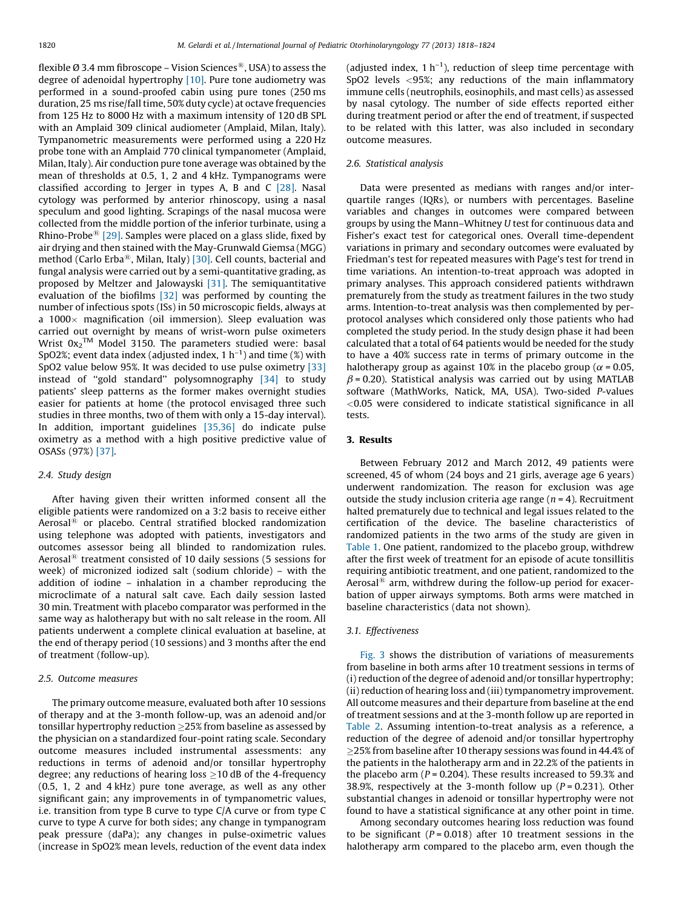flexible Ø 3.4 mm fibroscope – Vision Sciences<sup>®</sup>, USA) to assess the degree of adenoidal hypertrophy [\[10\]](#page-5-0). Pure tone audiometry was performed in a sound-proofed cabin using pure tones (250 ms duration, 25 ms rise/fall time, 50% duty cycle) at octave frequencies from 125 Hz to 8000 Hz with a maximum intensity of 120 dB SPL with an Amplaid 309 clinical audiometer (Amplaid, Milan, Italy). Tympanometric measurements were performed using a 220 Hz probe tone with an Amplaid 770 clinical tympanometer (Amplaid, Milan, Italy). Air conduction pure tone average was obtained by the mean of thresholds at 0.5, 1, 2 and 4 kHz. Tympanograms were classified according to Jerger in types A, B and C  $[28]$ . Nasal cytology was performed by anterior rhinoscopy, using a nasal speculum and good lighting. Scrapings of the nasal mucosa were collected from the middle portion of the inferior turbinate, using a Rhino-Probe<sup>®</sup> [\[29\]](#page-6-0). Samples were placed on a glass slide, fixed by air drying and then stained with the May-Grunwald Giemsa (MGG) method (Carlo Erba<sup>®</sup>, Milan, Italy) [\[30\].](#page-6-0) Cell counts, bacterial and fungal analysis were carried out by a semi-quantitative grading, as proposed by Meltzer and Jalowayski [\[31\].](#page-6-0) The semiquantitative evaluation of the biofilms [\[32\]](#page-6-0) was performed by counting the number of infectious spots (ISs) in 50 microscopic fields, always at a 1000 $\times$  magnification (oil immersion). Sleep evaluation was carried out overnight by means of wrist-worn pulse oximeters Wrist  $0x_2^{\text{TM}}$  Model 3150. The parameters studied were: basal SpO2%; event data index (adjusted index, 1  $h^{-1}$ ) and time (%) with SpO2 value below 95%. It was decided to use pulse oximetry [\[33\]](#page-6-0) instead of ''gold standard'' polysomnography [\[34\]](#page-6-0) to study patients' sleep patterns as the former makes overnight studies easier for patients at home (the protocol envisaged three such studies in three months, two of them with only a 15-day interval). In addition, important guidelines [\[35,36\]](#page-6-0) do indicate pulse oximetry as a method with a high positive predictive value of OSASs (97%) [\[37\].](#page-6-0)

# 2.4. Study design

After having given their written informed consent all the eligible patients were randomized on a 3:2 basis to receive either Aerosal $\mathbb{R}$  or placebo. Central stratified blocked randomization using telephone was adopted with patients, investigators and outcomes assessor being all blinded to randomization rules. Aerosal $^{(8)}$  treatment consisted of 10 daily sessions (5 sessions for week) of micronized iodized salt (sodium chloride) – with the addition of iodine – inhalation in a chamber reproducing the microclimate of a natural salt cave. Each daily session lasted 30 min. Treatment with placebo comparator was performed in the same way as halotherapy but with no salt release in the room. All patients underwent a complete clinical evaluation at baseline, at the end of therapy period (10 sessions) and 3 months after the end of treatment (follow-up).

# 2.5. Outcome measures

The primary outcome measure, evaluated both after 10 sessions of therapy and at the 3-month follow-up, was an adenoid and/or tonsillar hypertrophy reduction  ${\geq}25\%$  from baseline as assessed by the physician on a standardized four-point rating scale. Secondary outcome measures included instrumental assessments: any reductions in terms of adenoid and/or tonsillar hypertrophy degree; any reductions of hearing loss  $\geq$ 10 dB of the 4-frequency (0.5, 1, 2 and 4 kHz) pure tone average, as well as any other significant gain; any improvements in of tympanometric values, i.e. transition from type B curve to type C/A curve or from type C curve to type A curve for both sides; any change in tympanogram peak pressure (daPa); any changes in pulse-oximetric values (increase in SpO2% mean levels, reduction of the event data index (adjusted index,  $1 h^{-1}$ ), reduction of sleep time percentage with SpO2 levels <95%; any reductions of the main inflammatory immune cells (neutrophils, eosinophils, and mast cells) as assessed by nasal cytology. The number of side effects reported either during treatment period or after the end of treatment, if suspected to be related with this latter, was also included in secondary outcome measures.

## 2.6. Statistical analysis

Data were presented as medians with ranges and/or interquartile ranges (IQRs), or numbers with percentages. Baseline variables and changes in outcomes were compared between groups by using the Mann–Whitney U test for continuous data and Fisher's exact test for categorical ones. Overall time-dependent variations in primary and secondary outcomes were evaluated by Friedman's test for repeated measures with Page's test for trend in time variations. An intention-to-treat approach was adopted in primary analyses. This approach considered patients withdrawn prematurely from the study as treatment failures in the two study arms. Intention-to-treat analysis was then complemented by perprotocol analyses which considered only those patients who had completed the study period. In the study design phase it had been calculated that a total of 64 patients would be needed for the study to have a 40% success rate in terms of primary outcome in the halotherapy group as against 10% in the placebo group ( $\alpha$  = 0.05,  $\beta$  = 0.20). Statistical analysis was carried out by using MATLAB software (MathWorks, Natick, MA, USA). Two-sided P-values <0.05 were considered to indicate statistical significance in all tests.

# 3. Results

Between February 2012 and March 2012, 49 patients were screened, 45 of whom (24 boys and 21 girls, average age 6 years) underwent randomization. The reason for exclusion was age outside the study inclusion criteria age range ( $n = 4$ ). Recruitment halted prematurely due to technical and legal issues related to the certification of the device. The baseline characteristics of randomized patients in the two arms of the study are given in [Table](#page-3-0) 1. One patient, randomized to the placebo group, withdrew after the first week of treatment for an episode of acute tonsillitis requiring antibiotic treatment, and one patient, randomized to the Aerosal<sup>®</sup> arm, withdrew during the follow-up period for exacerbation of upper airways symptoms. Both arms were matched in baseline characteristics (data not shown).

# 3.1. Effectiveness

[Fig.](#page-3-0) 3 shows the distribution of variations of measurements from baseline in both arms after 10 treatment sessions in terms of (i) reduction of the degree of adenoid and/or tonsillar hypertrophy; (ii) reduction of hearing loss and (iii) tympanometry improvement. All outcome measures and their departure from baseline at the end of treatment sessions and at the 3-month follow up are reported in [Table](#page-4-0) 2. Assuming intention-to-treat analysis as a reference, a reduction of the degree of adenoid and/or tonsillar hypertrophy  $\geq$ 25% from baseline after 10 therapy sessions was found in 44.4% of the patients in the halotherapy arm and in 22.2% of the patients in the placebo arm ( $P = 0.204$ ). These results increased to 59.3% and 38.9%, respectively at the 3-month follow up ( $P = 0.231$ ). Other substantial changes in adenoid or tonsillar hypertrophy were not found to have a statistical significance at any other point in time.

Among secondary outcomes hearing loss reduction was found to be significant ( $P = 0.018$ ) after 10 treatment sessions in the halotherapy arm compared to the placebo arm, even though the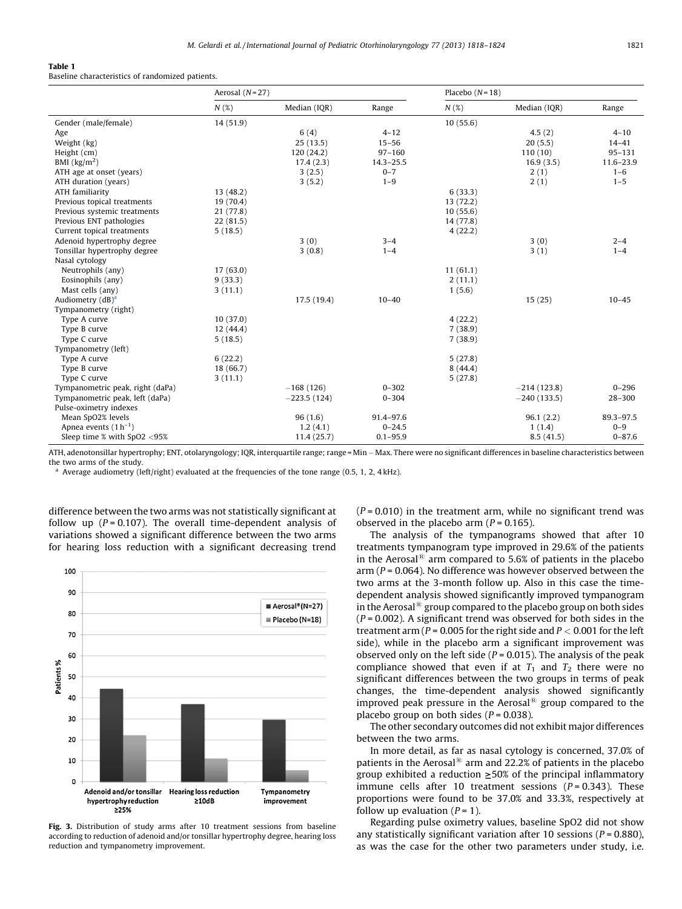### <span id="page-3-0"></span>Table 1

Baseline characteristics of randomized patients.

|                                  | Aerosal $(N=27)$ |               |               | Placebo $(N=18)$ |               |               |
|----------------------------------|------------------|---------------|---------------|------------------|---------------|---------------|
|                                  | N(%)             | Median (IQR)  | Range         | N(%)             | Median (IQR)  | Range         |
| Gender (male/female)             | 14(51.9)         |               |               | 10(55.6)         |               |               |
| Age                              |                  | 6(4)          | $4 - 12$      |                  | 4.5(2)        | $4 - 10$      |
| Weight (kg)                      |                  | 25(13.5)      | $15 - 56$     |                  | 20(5.5)       | $14 - 41$     |
| Height (cm)                      |                  | 120 (24.2)    | 97-160        |                  | 110(10)       | $95 - 131$    |
| BMI $(kg/m2)$                    |                  | 17.4(2.3)     | $14.3 - 25.5$ |                  | 16.9(3.5)     | $11.6 - 23.9$ |
| ATH age at onset (years)         |                  | 3(2.5)        | $0 - 7$       |                  | 2(1)          | $1 - 6$       |
| ATH duration (years)             |                  | 3(5.2)        | $1 - 9$       |                  | 2(1)          | $1 - 5$       |
| ATH familiarity                  | 13(48.2)         |               |               | 6(33.3)          |               |               |
| Previous topical treatments      | 19 (70.4)        |               |               | 13 (72.2)        |               |               |
| Previous systemic treatments     | 21 (77.8)        |               |               | 10(55.6)         |               |               |
| Previous ENT pathologies         | 22(81.5)         |               |               | 14 (77.8)        |               |               |
| Current topical treatments       | 5(18.5)          |               |               | 4(22.2)          |               |               |
| Adenoid hypertrophy degree       |                  | 3(0)          | $3 - 4$       |                  | 3(0)          | $2 - 4$       |
| Tonsillar hypertrophy degree     |                  | 3(0.8)        | $1 - 4$       |                  | 3(1)          | $1 - 4$       |
| Nasal cytology                   |                  |               |               |                  |               |               |
| Neutrophils (any)                | 17(63.0)         |               |               | 11(61.1)         |               |               |
| Eosinophils (any)                | 9(33.3)          |               |               | 2(11.1)          |               |               |
| Mast cells (any)                 | 3(11.1)          |               |               | 1(5.6)           |               |               |
| Audiometry (dB) <sup>a</sup>     |                  | 17.5 (19.4)   | $10 - 40$     |                  | 15(25)        | $10 - 45$     |
| Tympanometry (right)             |                  |               |               |                  |               |               |
| Type A curve                     | 10(37.0)         |               |               | 4(22.2)          |               |               |
| Type B curve                     | 12(44.4)         |               |               | 7(38.9)          |               |               |
| Type C curve                     | 5(18.5)          |               |               | 7(38.9)          |               |               |
| Tympanometry (left)              |                  |               |               |                  |               |               |
| Type A curve                     | 6(22.2)          |               |               | 5(27.8)          |               |               |
| Type B curve                     | 18 (66.7)        |               |               | 8(44.4)          |               |               |
| Type C curve                     | 3(11.1)          |               |               | 5(27.8)          |               |               |
| Tympanometric peak, right (daPa) |                  | $-168(126)$   | $0 - 302$     |                  | $-214(123.8)$ | $0 - 296$     |
| Tympanometric peak, left (daPa)  |                  | $-223.5(124)$ | $0 - 304$     |                  | $-240(133.5)$ | 28-300        |
| Pulse-oximetry indexes           |                  |               |               |                  |               |               |
| Mean SpO2% levels                |                  | 96(1.6)       | 91.4-97.6     |                  | 96.1(2.2)     | $89.3 - 97.5$ |
| Apnea events $(1 h^{-1})$        |                  | 1.2(4.1)      | $0 - 24.5$    |                  | 1(1.4)        | $0 - 9$       |
| Sleep time % with SpO2 <95%      |                  | 11.4(25.7)    | $0.1 - 95.9$  |                  | 8.5(41.5)     | $0 - 87.6$    |

ATH, adenotonsillar hypertrophy; ENT, otolaryngology; IQR, interquartile range; range = Min - Max. There were no significant differences in baseline characteristics between the two arms of the study.

Average audiometry (left/right) evaluated at the frequencies of the tone range (0.5, 1, 2, 4 kHz).

difference between the two arms was not statistically significant at follow up ( $P = 0.107$ ). The overall time-dependent analysis of variations showed a significant difference between the two arms for hearing loss reduction with a significant decreasing trend



Fig. 3. Distribution of study arms after 10 treatment sessions from baseline according to reduction of adenoid and/or tonsillar hypertrophy degree, hearing loss reduction and tympanometry improvement.

 $(P = 0.010)$  in the treatment arm, while no significant trend was observed in the placebo arm ( $P = 0.165$ ).

The analysis of the tympanograms showed that after 10 treatments tympanogram type improved in 29.6% of the patients in the Aerosal<sup>®</sup> arm compared to 5.6% of patients in the placebo arm ( $P = 0.064$ ). No difference was however observed between the two arms at the 3-month follow up. Also in this case the timedependent analysis showed significantly improved tympanogram in the Aerosal $^{\circledR}$  group compared to the placebo group on both sides  $(P = 0.002)$ . A significant trend was observed for both sides in the treatment arm ( $P = 0.005$  for the right side and  $P < 0.001$  for the left side), while in the placebo arm a significant improvement was observed only on the left side ( $P = 0.015$ ). The analysis of the peak compliance showed that even if at  $T_1$  and  $T_2$  there were no significant differences between the two groups in terms of peak changes, the time-dependent analysis showed significantly improved peak pressure in the Aerosal<sup>®</sup> group compared to the placebo group on both sides ( $P = 0.038$ ).

The other secondary outcomes did not exhibit major differences between the two arms.

In more detail, as far as nasal cytology is concerned, 37.0% of patients in the Aerosal<sup>®</sup> arm and 22.2% of patients in the placebo group exhibited a reduction  $\geq 50\%$  of the principal inflammatory immune cells after 10 treatment sessions  $(P = 0.343)$ . These proportions were found to be 37.0% and 33.3%, respectively at follow up evaluation  $(P = 1)$ .

Regarding pulse oximetry values, baseline SpO2 did not show any statistically significant variation after 10 sessions ( $P = 0.880$ ), as was the case for the other two parameters under study, i.e.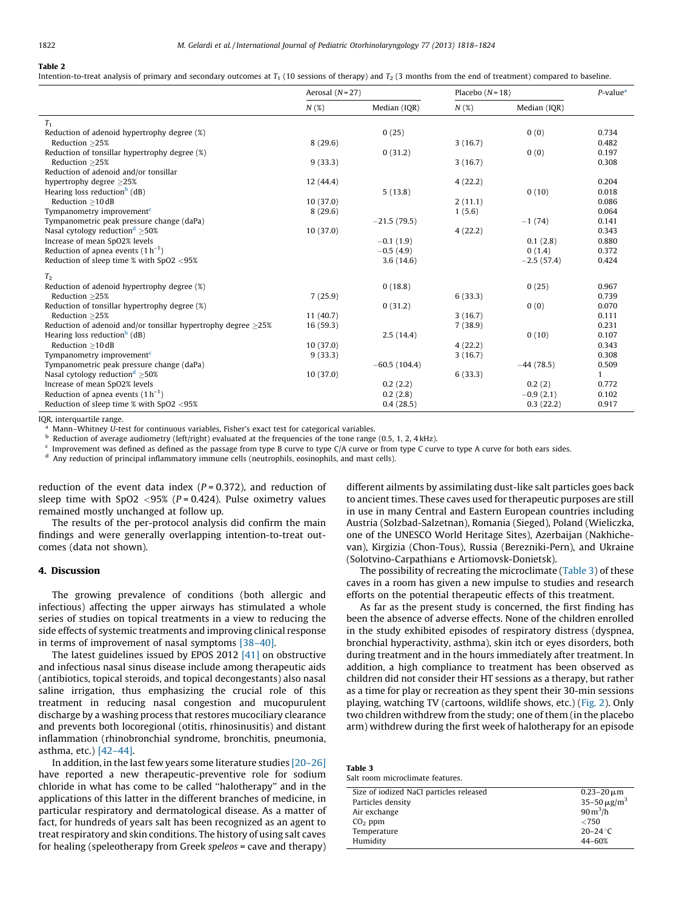# <span id="page-4-0"></span>Table 2

Intention-to-treat analysis of primary and secondary outcomes at  $T_1$  (10 sessions of therapy) and  $T_2$  (3 months from the end of treatment) compared to baseline.

|                                                                  | Aerosal $(N=27)$ |                | Placebo $(N=18)$ |              | $P$ -value <sup>a</sup> |
|------------------------------------------------------------------|------------------|----------------|------------------|--------------|-------------------------|
|                                                                  | N(%)             | Median (IQR)   | N(%)             | Median (IQR) |                         |
| $T_1$                                                            |                  |                |                  |              |                         |
| Reduction of adenoid hypertrophy degree (%)                      |                  | 0(25)          |                  | 0(0)         | 0.734                   |
| Reduction >25%                                                   | 8(29.6)          |                | 3(16.7)          |              | 0.482                   |
| Reduction of tonsillar hypertrophy degree (%)                    |                  | 0(31.2)        |                  | 0(0)         | 0.197                   |
| Reduction $>25%$                                                 | 9(33.3)          |                | 3(16.7)          |              | 0.308                   |
| Reduction of adenoid and/or tonsillar                            |                  |                |                  |              |                         |
| hypertrophy degree $>25\%$                                       | 12(44.4)         |                | 4(22.2)          |              | 0.204                   |
| Hearing loss reduction <sup>b</sup> (dB)                         |                  | 5(13.8)        |                  | 0(10)        | 0.018                   |
| Reduction >10dB                                                  | 10(37.0)         |                | 2(11.1)          |              | 0.086                   |
| Tympanometry improvement <sup>c</sup>                            | 8(29.6)          |                | 1(5.6)           |              | 0.064                   |
| Tympanometric peak pressure change (daPa)                        |                  | $-21.5(79.5)$  |                  | $-1(74)$     | 0.141                   |
| Nasal cytology reduction $\sim$ 50%                              | 10(37.0)         |                | 4(22.2)          |              | 0.343                   |
| Increase of mean SpO2% levels                                    |                  | $-0.1(1.9)$    |                  | 0.1(2.8)     | 0.880                   |
| Reduction of apnea events $(1 h^{-1})$                           |                  | $-0.5(4.9)$    |                  | 0(1.4)       | 0.372                   |
| Reduction of sleep time % with SpO2 <95%                         |                  | 3.6(14.6)      |                  | $-2.5(57.4)$ | 0.424                   |
| $T_2$                                                            |                  |                |                  |              |                         |
| Reduction of adenoid hypertrophy degree (%)                      |                  | 0(18.8)        |                  | 0(25)        | 0.967                   |
| Reduction >25%                                                   | 7(25.9)          |                | 6(33.3)          |              | 0.739                   |
| Reduction of tonsillar hypertrophy degree (%)                    |                  | 0(31.2)        |                  | 0(0)         | 0.070                   |
| Reduction >25%                                                   | 11(40.7)         |                | 3(16.7)          |              | 0.111                   |
| Reduction of adenoid and/or tonsillar hypertrophy degree $>25\%$ | 16(59.3)         |                | 7(38.9)          |              | 0.231                   |
| Hearing loss reduction <sup>b</sup> (dB)                         |                  | 2.5(14.4)      |                  | 0(10)        | 0.107                   |
| Reduction $>10$ dB                                               | 10(37.0)         |                | 4(22.2)          |              | 0.343                   |
| Tympanometry improvement <sup>c</sup>                            | 9(33.3)          |                | 3(16.7)          |              | 0.308                   |
| Tympanometric peak pressure change (daPa)                        |                  | $-60.5(104.4)$ |                  | $-44(78.5)$  | 0.509                   |
| Nasal cytology reduction <sup>d</sup> $\geq$ 50%                 | 10(37.0)         |                | 6(33.3)          |              | $\mathbf{1}$            |
| Increase of mean SpO2% levels                                    |                  | 0.2(2.2)       |                  | 0.2(2)       | 0.772                   |
| Reduction of apnea events $(1 h^{-1})$                           |                  | 0.2(2.8)       |                  | $-0.9(2.1)$  | 0.102                   |
| Reduction of sleep time % with SpO2 <95%                         |                  | 0.4(28.5)      |                  | 0.3(22.2)    | 0.917                   |

IOR, interquartile range.

Mann–Whitney U-test for continuous variables, Fisher's exact test for categorical variables.

b Reduction of average audiometry (left/right) evaluated at the frequencies of the tone range (0.5, 1, 2, 4 kHz).

Improvement was defined as defined as the passage from type B curve to type C/A curve or from type C curve to type A curve for both ears sides.

<sup>d</sup> Any reduction of principal inflammatory immune cells (neutrophils, eosinophils, and mast cells).

reduction of the event data index  $(P = 0.372)$ , and reduction of sleep time with SpO2 <95% ( $P = 0.424$ ). Pulse oximetry values remained mostly unchanged at follow up.

The results of the per-protocol analysis did confirm the main findings and were generally overlapping intention-to-treat outcomes (data not shown).

## 4. Discussion

The growing prevalence of conditions (both allergic and infectious) affecting the upper airways has stimulated a whole series of studies on topical treatments in a view to reducing the side effects of systemic treatments and improving clinical response in terms of improvement of nasal symptoms [\[38–40\]](#page-6-0).

The latest guidelines issued by EPOS 2012 [\[41\]](#page-6-0) on obstructive and infectious nasal sinus disease include among therapeutic aids (antibiotics, topical steroids, and topical decongestants) also nasal saline irrigation, thus emphasizing the crucial role of this treatment in reducing nasal congestion and mucopurulent discharge by a washing process that restores mucociliary clearance and prevents both locoregional (otitis, rhinosinusitis) and distant inflammation (rhinobronchial syndrome, bronchitis, pneumonia, asthma, etc.) [\[42–44\].](#page-6-0)

In addition, in the last few years some literature studies [\[20–26\]](#page-6-0) have reported a new therapeutic-preventive role for sodium chloride in what has come to be called ''halotherapy'' and in the applications of this latter in the different branches of medicine, in particular respiratory and dermatological disease. As a matter of fact, for hundreds of years salt has been recognized as an agent to treat respiratory and skin conditions. The history of using salt caves for healing (speleotherapy from Greek speleos = cave and therapy) different ailments by assimilating dust-like salt particles goes back to ancient times. These caves used for therapeutic purposes are still in use in many Central and Eastern European countries including Austria (Solzbad-Salzetnan), Romania (Sieged), Poland (Wieliczka, one of the UNESCO World Heritage Sites), Azerbaijan (Nakhichevan), Kirgizia (Chon-Tous), Russia (Berezniki-Pern), and Ukraine (Solotvino-Carpathians e Artiomovsk-Donietsk).

The possibility of recreating the microclimate (Table 3) of these caves in a room has given a new impulse to studies and research efforts on the potential therapeutic effects of this treatment.

As far as the present study is concerned, the first finding has been the absence of adverse effects. None of the children enrolled in the study exhibited episodes of respiratory distress (dyspnea, bronchial hyperactivity, asthma), skin itch or eyes disorders, both during treatment and in the hours immediately after treatment. In addition, a high compliance to treatment has been observed as children did not consider their HT sessions as a therapy, but rather as a time for play or recreation as they spent their 30-min sessions playing, watching TV (cartoons, wildlife shows, etc.) ([Fig.](#page-1-0) 2). Only two children withdrew from the study; one of them (in the placebo arm) withdrew during the first week of halotherapy for an episode

| Table 3 |                                  |  |
|---------|----------------------------------|--|
|         | Salt room microclimate features. |  |

| Size of iodized NaCl particles released | $0.23 - 20 \mu m$              |
|-----------------------------------------|--------------------------------|
| Particles density                       | 35-50 $\mu$ g/m <sup>3</sup>   |
| Air exchange                            | $90 \,\mathrm{m}^3/\mathrm{h}$ |
| $CO2$ ppm                               | ${<}750$                       |
| Temperature                             | $20 - 24$ °C                   |
| Humidity                                | $44 - 60%$                     |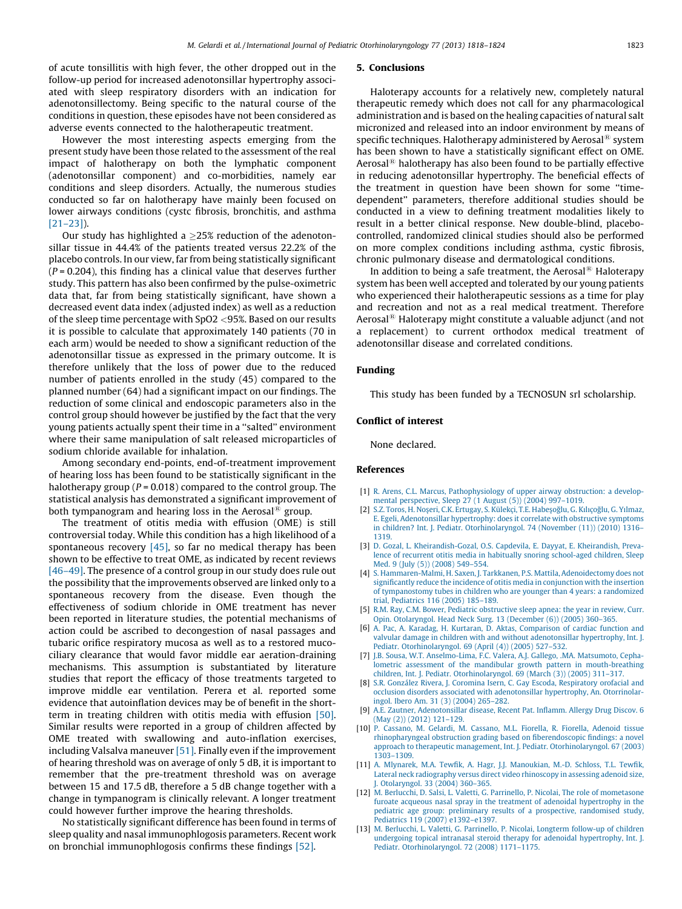<span id="page-5-0"></span>of acute tonsillitis with high fever, the other dropped out in the follow-up period for increased adenotonsillar hypertrophy associated with sleep respiratory disorders with an indication for adenotonsillectomy. Being specific to the natural course of the conditions in question, these episodes have not been considered as adverse events connected to the halotherapeutic treatment.

However the most interesting aspects emerging from the present study have been those related to the assessment of the real impact of halotherapy on both the lymphatic component (adenotonsillar component) and co-morbidities, namely ear conditions and sleep disorders. Actually, the numerous studies conducted so far on halotherapy have mainly been focused on lower airways conditions (cystc fibrosis, bronchitis, and asthma [\[21–23\]\)](#page-6-0).

Our study has highlighted a  ${\geq}25\%$  reduction of the adenotonsillar tissue in 44.4% of the patients treated versus 22.2% of the placebo controls. In our view, far from being statistically significant  $(P = 0.204)$ , this finding has a clinical value that deserves further study. This pattern has also been confirmed by the pulse-oximetric data that, far from being statistically significant, have shown a decreased event data index (adjusted index) as well as a reduction of the sleep time percentage with SpO2 <95%. Based on our results it is possible to calculate that approximately 140 patients (70 in each arm) would be needed to show a significant reduction of the adenotonsillar tissue as expressed in the primary outcome. It is therefore unlikely that the loss of power due to the reduced number of patients enrolled in the study (45) compared to the planned number (64) had a significant impact on our findings. The reduction of some clinical and endoscopic parameters also in the control group should however be justified by the fact that the very young patients actually spent their time in a ''salted'' environment where their same manipulation of salt released microparticles of sodium chloride available for inhalation.

Among secondary end-points, end-of-treatment improvement of hearing loss has been found to be statistically significant in the halotherapy group ( $P = 0.018$ ) compared to the control group. The statistical analysis has demonstrated a significant improvement of both tympanogram and hearing loss in the Aerosal<sup>®</sup> group.

The treatment of otitis media with effusion (OME) is still controversial today. While this condition has a high likelihood of a spontaneous recovery  $[45]$ , so far no medical therapy has been shown to be effective to treat OME, as indicated by recent reviews [46-49]. The presence of a control group in our study does rule out the possibility that the improvements observed are linked only to a spontaneous recovery from the disease. Even though the effectiveness of sodium chloride in OME treatment has never been reported in literature studies, the potential mechanisms of action could be ascribed to decongestion of nasal passages and tubaric orifice respiratory mucosa as well as to a restored mucociliary clearance that would favor middle ear aeration-draining mechanisms. This assumption is substantiated by literature studies that report the efficacy of those treatments targeted to improve middle ear ventilation. Perera et al. reported some evidence that autoinflation devices may be of benefit in the shortterm in treating children with otitis media with effusion [\[50\].](#page-6-0) Similar results were reported in a group of children affected by OME treated with swallowing and auto-inflation exercises, including Valsalva maneuver [\[51\]](#page-6-0). Finally even if the improvement of hearing threshold was on average of only 5 dB, it is important to remember that the pre-treatment threshold was on average between 15 and 17.5 dB, therefore a 5 dB change together with a change in tympanogram is clinically relevant. A longer treatment could however further improve the hearing thresholds.

No statistically significant difference has been found in terms of sleep quality and nasal immunophlogosis parameters. Recent work on bronchial immunophlogosis confirms these findings [\[52\].](#page-6-0)

#### 5. Conclusions

Haloterapy accounts for a relatively new, completely natural therapeutic remedy which does not call for any pharmacological administration and is based on the healing capacities of natural salt micronized and released into an indoor environment by means of specific techniques. Halotherapy administered by Aerosal<sup>®</sup> system has been shown to have a statistically significant effect on OME. Aerosal $\mathbb{B}$  halotherapy has also been found to be partially effective in reducing adenotonsillar hypertrophy. The beneficial effects of the treatment in question have been shown for some "timedependent'' parameters, therefore additional studies should be conducted in a view to defining treatment modalities likely to result in a better clinical response. New double-blind, placebocontrolled, randomized clinical studies should also be performed on more complex conditions including asthma, cystic fibrosis, chronic pulmonary disease and dermatological conditions.

In addition to being a safe treatment, the Aerosal<sup>®</sup> Haloterapy system has been well accepted and tolerated by our young patients who experienced their halotherapeutic sessions as a time for play and recreation and not as a real medical treatment. Therefore Aerosal<sup>®</sup> Haloterapy might constitute a valuable adjunct (and not a replacement) to current orthodox medical treatment of adenotonsillar disease and correlated conditions.

# Funding

This study has been funded by a TECNOSUN srl scholarship.

# Conflict of interest

None declared.

# References

- [1] R. Arens, C.L. Marcus, [Pathophysiology](http://refhub.elsevier.com/S0165-5876(13)00399-6/sbref0005) of upper airway obstruction: a developmental [perspective,](http://refhub.elsevier.com/S0165-5876(13)00399-6/sbref0005) Sleep 27 (1 August (5)) (2004) 997–1019.
- [2] S.Z. Toros, H. Noşeri, C.K. [Ertugay,](http://refhub.elsevier.com/S0165-5876(13)00399-6/sbref0010) S. Külekçi, T.E. Habeşoğlu, G. Kılıçoğlu, G. [Yılmaz,](http://refhub.elsevier.com/S0165-5876(13)00399-6/sbref0010) E. Egeli, [Adenotonsillar](http://refhub.elsevier.com/S0165-5876(13)00399-6/sbref0010) hypertrophy: does it correlate with obstructive symptoms in children? Int. J. Pediatr. [Otorhinolaryngol.](http://refhub.elsevier.com/S0165-5876(13)00399-6/sbref0010) 74 (November (11)) (2010) 1316– [1319](http://refhub.elsevier.com/S0165-5876(13)00399-6/sbref0010).
- [3] D. Gozal, L. [Kheirandish-Gozal,](http://refhub.elsevier.com/S0165-5876(13)00399-6/sbref0015) O.S. Capdevila, E. Dayyat, E. Kheirandish, Prevalence of recurrent otitis media in habitually snoring [school-aged](http://refhub.elsevier.com/S0165-5876(13)00399-6/sbref0015) children, Sleep Med. 9 (July (5)) (2008) [549–554](http://refhub.elsevier.com/S0165-5876(13)00399-6/sbref0015).
- [4] S. [Hammaren-Malmi,](http://refhub.elsevier.com/S0165-5876(13)00399-6/sbref0020) H. Saxen, J. Tarkkanen, P.S. Mattila, Adenoidectomy does not [significantly](http://refhub.elsevier.com/S0165-5876(13)00399-6/sbref0020) reduce the incidence of otitis media in conjunction with the insertion of [tympanostomy](http://refhub.elsevier.com/S0165-5876(13)00399-6/sbref0020) tubes in children who are younger than 4 years: a randomized trial, [Pediatrics](http://refhub.elsevier.com/S0165-5876(13)00399-6/sbref0020) 116 (2005) 185–189.
- [5] R.M. Ray, C.M. Bower, Pediatric [obstructive](http://refhub.elsevier.com/S0165-5876(13)00399-6/sbref0025) sleep apnea: the year in review, Curr. Opin. [Otolaryngol.](http://refhub.elsevier.com/S0165-5876(13)00399-6/sbref0025) Head Neck Surg. 13 (December (6)) (2005) 360–365.
- [6] A. Pac, A. Karadag, H. Kurtaran, D. Aktas, [Comparison](http://refhub.elsevier.com/S0165-5876(13)00399-6/sbref0030) of cardiac function and valvular damage in children with and without [adenotonsillar](http://refhub.elsevier.com/S0165-5876(13)00399-6/sbref0030) hypertrophy, Int. J. Pediatr. [Otorhinolaryngol.](http://refhub.elsevier.com/S0165-5876(13)00399-6/sbref0030) 69 (April (4)) (2005) 527–532.
- [7] J.B. Sousa, W.T. [Anselmo-Lima,](http://refhub.elsevier.com/S0165-5876(13)00399-6/sbref0035) F.C. Valera, A.J. Gallego, .MA. Matsumoto, Cephalometric assessment of the mandibular growth pattern in [mouth-breathing](http://refhub.elsevier.com/S0165-5876(13)00399-6/sbref0035) children, Int. J. Pediatr. [Otorhinolaryngol.](http://refhub.elsevier.com/S0165-5876(13)00399-6/sbref0035) 69 (March (3)) (2005) 311–317.
- S.R. González Rivera, J. Coromina Isern, C. Gay Escoda, [Respiratory](http://refhub.elsevier.com/S0165-5876(13)00399-6/sbref0040) orofacial and occlusion disorders associated with [adenotonsillar](http://refhub.elsevier.com/S0165-5876(13)00399-6/sbref0040) hypertrophy, An. Otorrinolaringol. Ibero Am. 31 (3) (2004) [265–282.](http://refhub.elsevier.com/S0165-5876(13)00399-6/sbref0040)
- A.E. Zautner, [Adenotonsillar](http://refhub.elsevier.com/S0165-5876(13)00399-6/sbref0045) disease, Recent Pat. Inflamm. Allergy Drug Discov. 6 (May (2)) (2012) [121–129](http://refhub.elsevier.com/S0165-5876(13)00399-6/sbref0045).
- [10] P. [Cassano,](http://refhub.elsevier.com/S0165-5876(13)00399-6/sbref0050) M. Gelardi, M. Cassano, M.L. Fiorella, R. Fiorella, Adenoid tissue [rhinopharyngeal](http://refhub.elsevier.com/S0165-5876(13)00399-6/sbref0050) obstruction grading based on fiberendoscopic findings: a novel approach to therapeutic management, Int. J. Pediatr. [Otorhinolaryngol.](http://refhub.elsevier.com/S0165-5876(13)00399-6/sbref0050) 67 (2003) [1303–1309](http://refhub.elsevier.com/S0165-5876(13)00399-6/sbref0050).
- [11] A. Mlynarek, M.A. Tewfik, A. Hagr, J.J. [Manoukian,](http://refhub.elsevier.com/S0165-5876(13)00399-6/sbref0055) M.-D. Schloss, T.L. Tewfik, Lateral neck [radiography](http://refhub.elsevier.com/S0165-5876(13)00399-6/sbref0055) versus direct video rhinoscopy in assessing adenoid size, [Otolaryngol.](http://refhub.elsevier.com/S0165-5876(13)00399-6/sbref0055) 33 (2004) 360-365.
- [12] M. Berlucchi, D. Salsi, L. Valetti, G. Parrinello, P. Nicolai, The role of [mometasone](http://refhub.elsevier.com/S0165-5876(13)00399-6/sbref0060) furoate acqueous nasal spray in the treatment of adenoidal [hypertrophy](http://refhub.elsevier.com/S0165-5876(13)00399-6/sbref0060) in the pediatric age group: preliminary results of a [prospective,](http://refhub.elsevier.com/S0165-5876(13)00399-6/sbref0060) randomised study, Pediatrics 119 (2007) [e1392–e1397.](http://refhub.elsevier.com/S0165-5876(13)00399-6/sbref0060)
- [13] M. Berlucchi, L. Valetti, G. [Parrinello,](http://refhub.elsevier.com/S0165-5876(13)00399-6/sbref0065) P. Nicolai, Longterm follow-up of children undergoing topical intranasal steroid therapy for adenoidal [hypertrophy,](http://refhub.elsevier.com/S0165-5876(13)00399-6/sbref0065) Int. J. Pediatr. [Otorhinolaryngol.](http://refhub.elsevier.com/S0165-5876(13)00399-6/sbref0065) 72 (2008) 1171–1175.